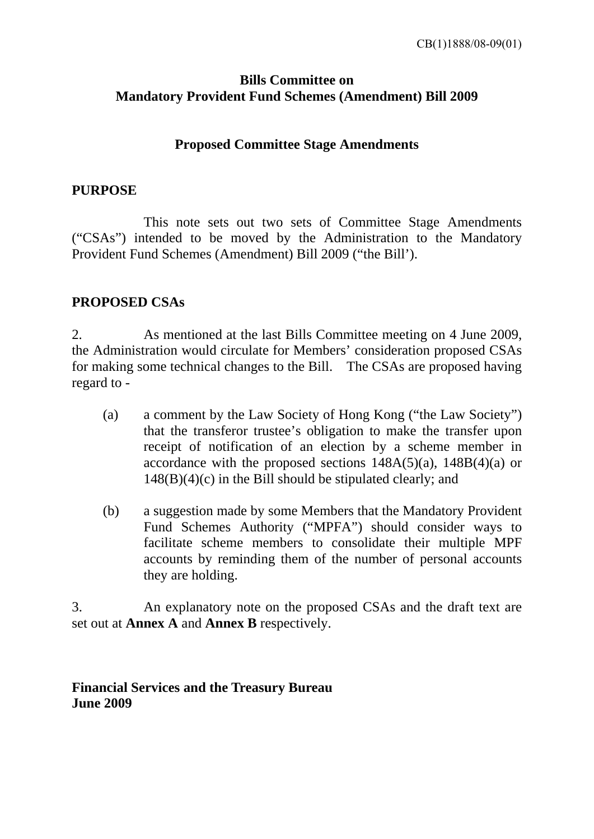# **Bills Committee on Mandatory Provident Fund Schemes (Amendment) Bill 2009**

## **Proposed Committee Stage Amendments**

## **PURPOSE**

 This note sets out two sets of Committee Stage Amendments ("CSAs") intended to be moved by the Administration to the Mandatory Provident Fund Schemes (Amendment) Bill 2009 ("the Bill').

## **PROPOSED CSAs**

2. As mentioned at the last Bills Committee meeting on 4 June 2009, the Administration would circulate for Members' consideration proposed CSAs for making some technical changes to the Bill. The CSAs are proposed having regard to -

- (a) a comment by the Law Society of Hong Kong ("the Law Society") that the transferor trustee's obligation to make the transfer upon receipt of notification of an election by a scheme member in accordance with the proposed sections  $148A(5)(a)$ ,  $148B(4)(a)$  or  $148(B)(4)(c)$  in the Bill should be stipulated clearly; and
- (b) a suggestion made by some Members that the Mandatory Provident Fund Schemes Authority ("MPFA") should consider ways to facilitate scheme members to consolidate their multiple MPF accounts by reminding them of the number of personal accounts they are holding.

3. An explanatory note on the proposed CSAs and the draft text are set out at **Annex A** and **Annex B** respectively.

**Financial Services and the Treasury Bureau June 2009**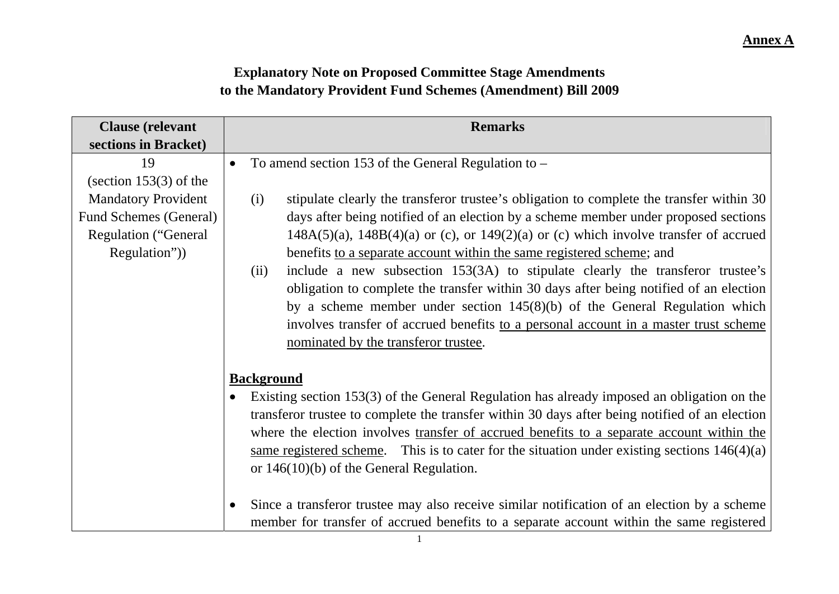# **Explanatory Note on Proposed Committee Stage Amendments to the Mandatory Provident Fund Schemes (Amendment) Bill 2009**

| <b>Clause</b> (relevant       | <b>Remarks</b>                                                                                           |  |  |  |  |
|-------------------------------|----------------------------------------------------------------------------------------------------------|--|--|--|--|
| sections in Bracket)          |                                                                                                          |  |  |  |  |
| 19                            | To amend section 153 of the General Regulation to $-$<br>$\bullet$                                       |  |  |  |  |
| (section $153(3)$ of the      |                                                                                                          |  |  |  |  |
| <b>Mandatory Provident</b>    | stipulate clearly the transferor trustee's obligation to complete the transfer within 30<br>(i)          |  |  |  |  |
| <b>Fund Schemes (General)</b> | days after being notified of an election by a scheme member under proposed sections                      |  |  |  |  |
| <b>Regulation ("General</b>   | $148A(5)(a)$ , $148B(4)(a)$ or (c), or $149(2)(a)$ or (c) which involve transfer of accrued              |  |  |  |  |
| Regulation")                  | benefits to a separate account within the same registered scheme; and                                    |  |  |  |  |
|                               | include a new subsection 153(3A) to stipulate clearly the transferor trustee's<br>(ii)                   |  |  |  |  |
|                               | obligation to complete the transfer within 30 days after being notified of an election                   |  |  |  |  |
|                               | by a scheme member under section $145(8)(b)$ of the General Regulation which                             |  |  |  |  |
|                               | involves transfer of accrued benefits to a personal account in a master trust scheme                     |  |  |  |  |
|                               | nominated by the transferor trustee.                                                                     |  |  |  |  |
|                               |                                                                                                          |  |  |  |  |
|                               | <b>Background</b>                                                                                        |  |  |  |  |
|                               | Existing section 153(3) of the General Regulation has already imposed an obligation on the               |  |  |  |  |
|                               | transferor trustee to complete the transfer within 30 days after being notified of an election           |  |  |  |  |
|                               | where the election involves transfer of accrued benefits to a separate account within the                |  |  |  |  |
|                               | same registered scheme. This is to cater for the situation under existing sections $146(4)(a)$           |  |  |  |  |
|                               | or $146(10)(b)$ of the General Regulation.                                                               |  |  |  |  |
|                               |                                                                                                          |  |  |  |  |
|                               | Since a transferor trustee may also receive similar notification of an election by a scheme<br>$\bullet$ |  |  |  |  |
|                               | member for transfer of accrued benefits to a separate account within the same registered                 |  |  |  |  |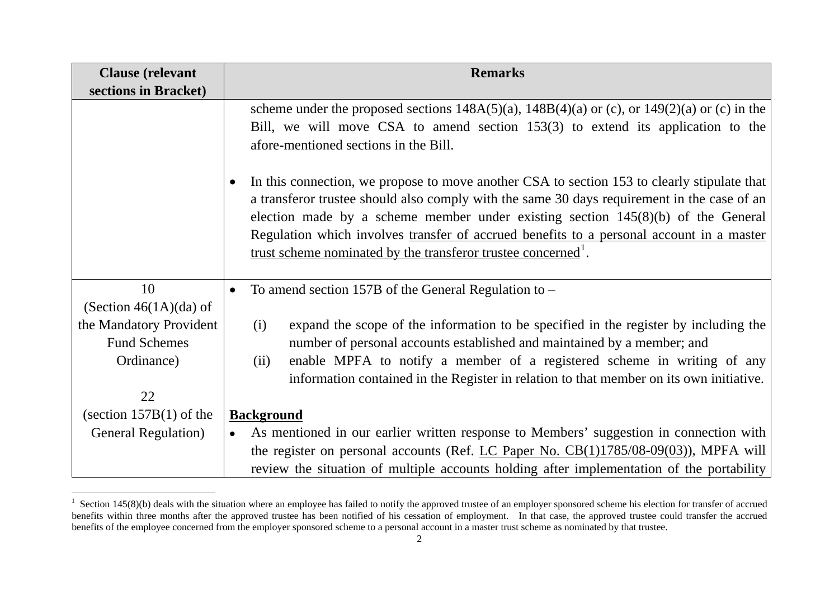| <b>Clause</b> (relevant                        | <b>Remarks</b>                                                                                                                                                                                                                                                                                                                                                                                                                                                                                                                                                                                                  |  |  |  |  |
|------------------------------------------------|-----------------------------------------------------------------------------------------------------------------------------------------------------------------------------------------------------------------------------------------------------------------------------------------------------------------------------------------------------------------------------------------------------------------------------------------------------------------------------------------------------------------------------------------------------------------------------------------------------------------|--|--|--|--|
| sections in Bracket)                           |                                                                                                                                                                                                                                                                                                                                                                                                                                                                                                                                                                                                                 |  |  |  |  |
|                                                | scheme under the proposed sections $148A(5)(a)$ , $148B(4)(a)$ or (c), or $149(2)(a)$ or (c) in the<br>Bill, we will move CSA to amend section 153(3) to extend its application to the<br>afore-mentioned sections in the Bill.<br>In this connection, we propose to move another CSA to section 153 to clearly stipulate that<br>a transferor trustee should also comply with the same 30 days requirement in the case of an<br>election made by a scheme member under existing section $145(8)(b)$ of the General<br>Regulation which involves transfer of accrued benefits to a personal account in a master |  |  |  |  |
|                                                | trust scheme nominated by the transferor trustee concerned <sup>1</sup> .                                                                                                                                                                                                                                                                                                                                                                                                                                                                                                                                       |  |  |  |  |
| 10<br>(Section $46(1A)(da)$ of                 | To amend section 157B of the General Regulation to -                                                                                                                                                                                                                                                                                                                                                                                                                                                                                                                                                            |  |  |  |  |
| the Mandatory Provident<br><b>Fund Schemes</b> | expand the scope of the information to be specified in the register by including the<br>(i)<br>number of personal accounts established and maintained by a member; and                                                                                                                                                                                                                                                                                                                                                                                                                                          |  |  |  |  |
| Ordinance)                                     | enable MPFA to notify a member of a registered scheme in writing of any<br>(ii)<br>information contained in the Register in relation to that member on its own initiative.                                                                                                                                                                                                                                                                                                                                                                                                                                      |  |  |  |  |
| 22                                             |                                                                                                                                                                                                                                                                                                                                                                                                                                                                                                                                                                                                                 |  |  |  |  |
| (section $157B(1)$ of the                      | <b>Background</b>                                                                                                                                                                                                                                                                                                                                                                                                                                                                                                                                                                                               |  |  |  |  |
| <b>General Regulation</b> )                    | As mentioned in our earlier written response to Members' suggestion in connection with                                                                                                                                                                                                                                                                                                                                                                                                                                                                                                                          |  |  |  |  |
|                                                | the register on personal accounts (Ref. LC Paper No. $CB(1)1785/08-09(03)$ ), MPFA will<br>review the situation of multiple accounts holding after implementation of the portability                                                                                                                                                                                                                                                                                                                                                                                                                            |  |  |  |  |

<span id="page-2-0"></span><sup>&</sup>lt;sup>1</sup> Section 145(8)(b) deals with the situation where an employee has failed to notify the approved trustee of an employer sponsored scheme his election for transfer of accrued benefits within three months after the approved trustee has been notified of his cessation of employment. In that case, the approved trustee could transfer the accrued benefits of the employee concerned from the employer sponsored scheme to a personal account in a master trust scheme as nominated by that trustee.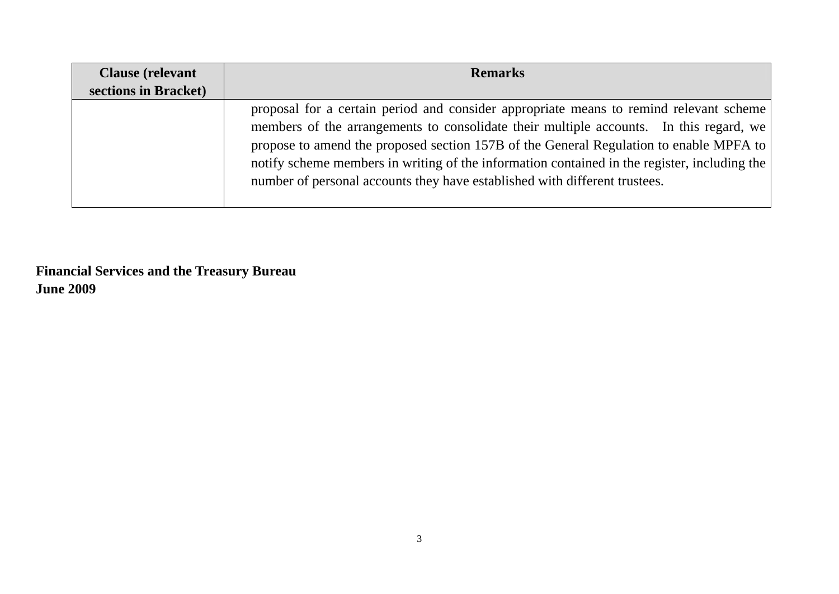| <b>Clause</b> (relevant | <b>Remarks</b>                                                                                                                                                                                                                                                                                                                                                                                                                                           |  |  |
|-------------------------|----------------------------------------------------------------------------------------------------------------------------------------------------------------------------------------------------------------------------------------------------------------------------------------------------------------------------------------------------------------------------------------------------------------------------------------------------------|--|--|
| sections in Bracket)    |                                                                                                                                                                                                                                                                                                                                                                                                                                                          |  |  |
|                         | proposal for a certain period and consider appropriate means to remind relevant scheme<br>members of the arrangements to consolidate their multiple accounts. In this regard, we<br>propose to amend the proposed section 157B of the General Regulation to enable MPFA to<br>notify scheme members in writing of the information contained in the register, including the<br>number of personal accounts they have established with different trustees. |  |  |

**Financial Services and the Treasury Bureau June 2009**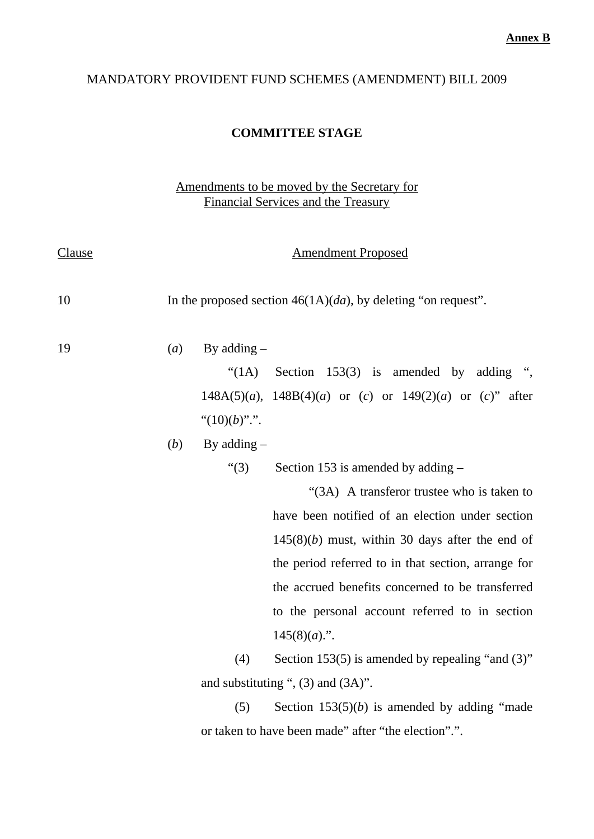## MANDATORY PROVIDENT FUND SCHEMES (AMENDMENT) BILL 2009

#### **COMMITTEE STAGE**

### Amendments to be moved by the Secretary for Financial Services and the Treasury

| Clause | <b>Amendment Proposed</b>                                        |                  |                                                                 |  |
|--------|------------------------------------------------------------------|------------------|-----------------------------------------------------------------|--|
| 10     | In the proposed section $46(1A)(da)$ , by deleting "on request". |                  |                                                                 |  |
| 19     | (a)                                                              | By adding $-$    |                                                                 |  |
|        |                                                                  | $\lq(1A)$        | Section $153(3)$ is amended by<br>adding ",                     |  |
|        |                                                                  |                  | $148A(5)(a)$ , $148B(4)(a)$ or (c) or $149(2)(a)$ or (c)" after |  |
|        |                                                                  | " $(10)(b)$ ".". |                                                                 |  |
|        | (b)                                                              | By adding $-$    |                                                                 |  |
|        |                                                                  | ``(3)            | Section 153 is amended by adding $-$                            |  |
|        |                                                                  |                  | "(3A) A transferor trustee who is taken to                      |  |
|        |                                                                  |                  | have been notified of an election under section                 |  |
|        |                                                                  |                  | $145(8)(b)$ must, within 30 days after the end of               |  |
|        |                                                                  |                  | the period referred to in that section, arrange for             |  |
|        |                                                                  |                  | the accrued benefits concerned to be transferred                |  |
|        |                                                                  |                  | to the personal account referred to in section                  |  |
|        |                                                                  |                  | $145(8)(a)$ .".                                                 |  |
|        |                                                                  | (4)              | Section 153(5) is amended by repealing "and $(3)$ "             |  |
|        |                                                                  |                  | and substituting ", $(3)$ and $(3A)$ ".                         |  |
|        |                                                                  | (5)              | Section $153(5)(b)$ is amended by adding "made                  |  |
|        |                                                                  |                  | or taken to have been made" after "the election".".             |  |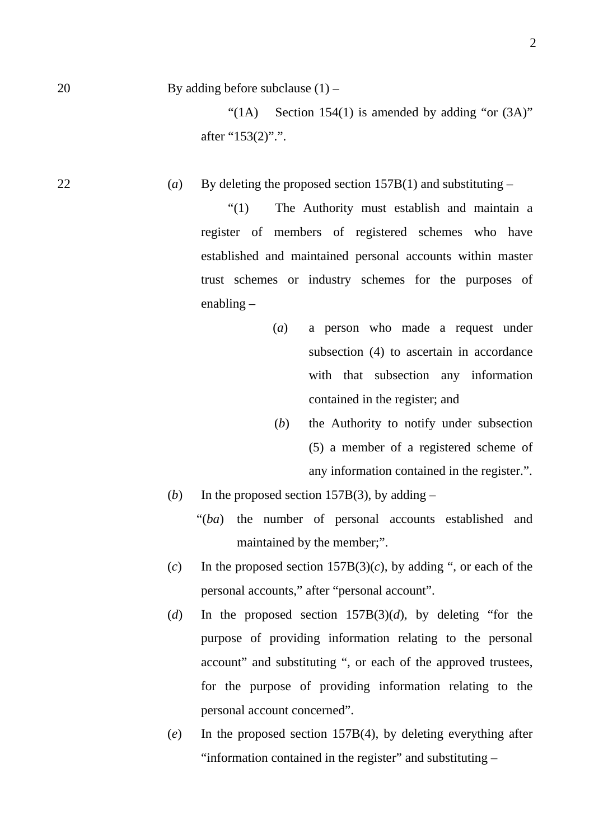20 By adding before subclause (1) –

"(1A) Section 154(1) is amended by adding "or  $(3A)$ " after "153(2)".".

22 (*a*) By deleting the proposed section  $157B(1)$  and substituting –

"(1) The Authority must establish and maintain a register of members of registered schemes who have established and maintained personal accounts within master trust schemes or industry schemes for the purposes of enabling –

- (*a*) a person who made a request under subsection (4) to ascertain in accordance with that subsection any information contained in the register; and
- (*b*) the Authority to notify under subsection (5) a member of a registered scheme of any information contained in the register.".
- (*b*) In the proposed section 157B(3), by adding  $-$ 
	- "(*ba*) the number of personal accounts established and maintained by the member;".
- (*c*) In the proposed section  $157B(3)(c)$ , by adding ", or each of the personal accounts," after "personal account".
- (*d*) In the proposed section 157B(3)(*d*), by deleting "for the purpose of providing information relating to the personal account" and substituting ", or each of the approved trustees, for the purpose of providing information relating to the personal account concerned".
- (*e*) In the proposed section 157B(4), by deleting everything after "information contained in the register" and substituting –